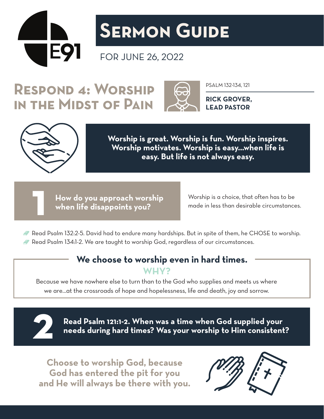

# **Sermon Guide**

### FOR JUNE 26, 2022

## RESPOND 4: WORSHIP A PSALM 132-134, 121 **in the Midst of Pain**



**RICK GROVER, LEAD PASTOR**



**Worship is great. Worship is fun. Worship inspires. Worship motivates. Worship is easy…when life is easy. But life is not always easy.**

**How do you approach worship 1 when life disappoints you?**

Worship is a choice, that often has to be made in less than desirable circumstances.

Read Psalm 132:2-5. David had to endure many hardships. But in spite of them, he CHOSE to worship. Read Psalm 134:1-2. We are taught to worship God, regardless of our circumstances.

#### **We choose to worship even in hard times. WHY?**

Because we have nowhere else to turn than to the God who supplies and meets us where we are…at the crossroads of hope and hopelessness, life and death, joy and sorrow.



**Read Psalm 121:1-2. When was a time when God supplied your 2 needs during hard times? Was your worship to Him consistent?** 

**Choose to worship God, because God has entered the pit for you and He will always be there with you.**